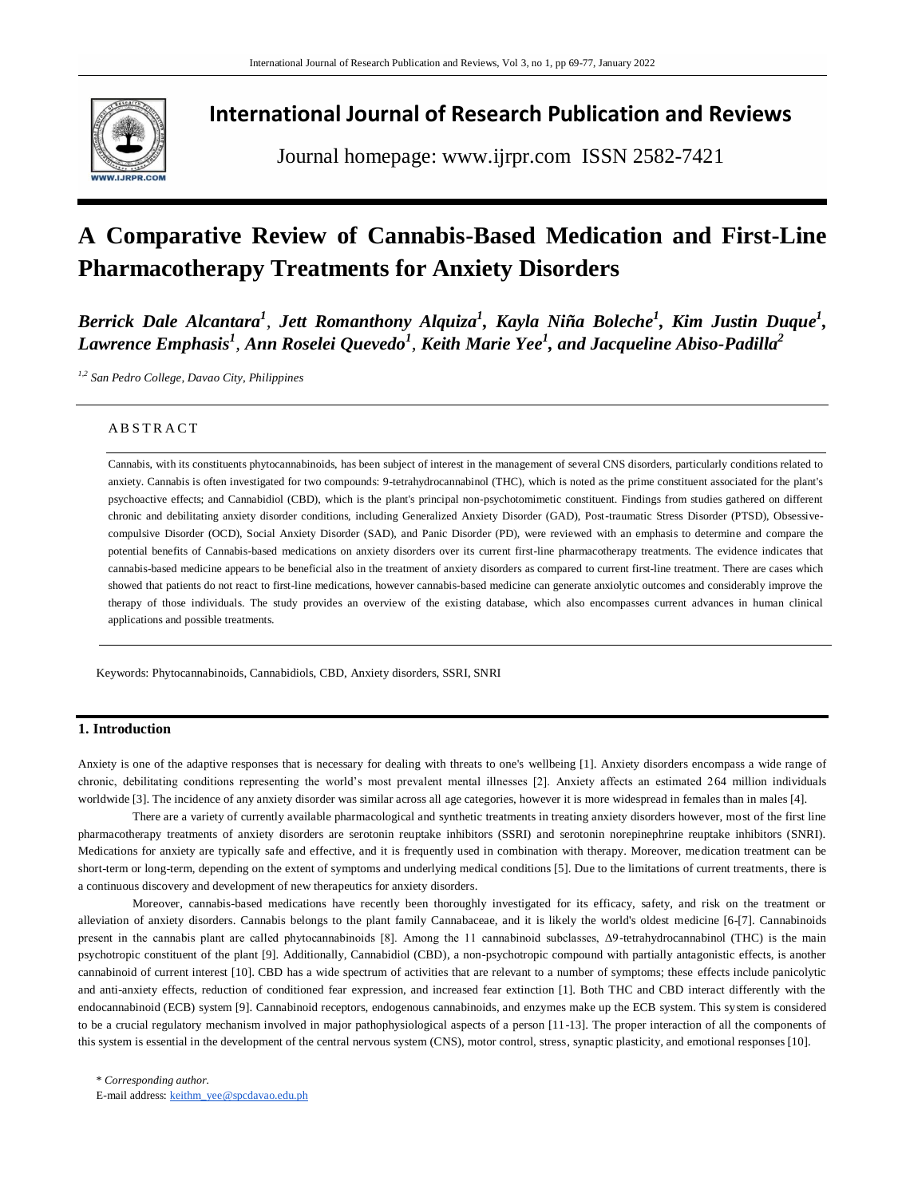

# **International Journal of Research Publication and Reviews**

Journal homepage: www.ijrpr.com ISSN 2582-7421

# **A Comparative Review of Cannabis-Based Medication and First-Line Pharmacotherapy Treatments for Anxiety Disorders**

*Berrick Dale Alcantara<sup>1</sup>, Jett Romanthony Alquiza<sup>1</sup>, Kayla Niña Boleche<sup>1</sup>, Kim Justin Duque<sup>1</sup>,*  $L$ awrence Emphasis<sup>1</sup>, Ann Roselei Quevedo<sup>1</sup>, Keith Marie Yee<sup>1</sup>, and Jacqueline Abiso-Padilla<sup>2</sup>

*1,2 San Pedro College, Davao City, Philippines* 

# A B S T R A C T

Cannabis, with its constituents phytocannabinoids, has been subject of interest in the management of several CNS disorders, particularly conditions related to anxiety. Cannabis is often investigated for two compounds: 9-tetrahydrocannabinol (THC), which is noted as the prime constituent associated for the plant's psychoactive effects; and Cannabidiol (CBD), which is the plant's principal non-psychotomimetic constituent. Findings from studies gathered on different chronic and debilitating anxiety disorder conditions, including Generalized Anxiety Disorder (GAD), Post-traumatic Stress Disorder (PTSD), Obsessivecompulsive Disorder (OCD), Social Anxiety Disorder (SAD), and Panic Disorder (PD), were reviewed with an emphasis to determine and compare the potential benefits of Cannabis-based medications on anxiety disorders over its current first-line pharmacotherapy treatments. The evidence indicates that cannabis-based medicine appears to be beneficial also in the treatment of anxiety disorders as compared to current first-line treatment. There are cases which showed that patients do not react to first-line medications, however cannabis-based medicine can generate anxiolytic outcomes and considerably improve the therapy of those individuals. The study provides an overview of the existing database, which also encompasses current advances in human clinical applications and possible treatments.

Keywords: Phytocannabinoids, Cannabidiols, CBD, Anxiety disorders, SSRI, SNRI

# **1. Introduction**

Anxiety is one of the adaptive responses that is necessary for dealing with threats to one's wellbeing [1]. Anxiety disorders encompass a wide range of chronic, debilitating conditions representing the world's most prevalent mental illnesses [2]. Anxiety affects an estimated 264 million individuals worldwide [3]. The incidence of any anxiety disorder was similar across all age categories, however it is more widespread in females than in males [4].

There are a variety of currently available pharmacological and synthetic treatments in treating anxiety disorders however, most of the first line pharmacotherapy treatments of anxiety disorders are serotonin reuptake inhibitors (SSRI) and serotonin norepinephrine reuptake inhibitors (SNRI). Medications for anxiety are typically safe and effective, and it is frequently used in combination with therapy. Moreover, medication treatment can be short-term or long-term, depending on the extent of symptoms and underlying medical conditions [5]. Due to the limitations of current treatments, there is a continuous discovery and development of new therapeutics for anxiety disorders.

Moreover, cannabis-based medications have recently been thoroughly investigated for its efficacy, safety, and risk on the treatment or alleviation of anxiety disorders. Cannabis belongs to the plant family Cannabaceae, and it is likely the world's oldest medicine [6-[7]. Cannabinoids present in the cannabis plant are called phytocannabinoids [8]. Among the 11 cannabinoid subclasses, Δ9-tetrahydrocannabinol (THC) is the main psychotropic constituent of the plant [9]. Additionally, Cannabidiol (CBD), a non-psychotropic compound with partially antagonistic effects, is another cannabinoid of current interest [10]. CBD has a wide spectrum of activities that are relevant to a number of symptoms; these effects include panicolytic and anti-anxiety effects, reduction of conditioned fear expression, and increased fear extinction [1]. Both THC and CBD interact differently with the endocannabinoid (ECB) system [9]. Cannabinoid receptors, endogenous cannabinoids, and enzymes make up the ECB system. This system is considered to be a crucial regulatory mechanism involved in major pathophysiological aspects of a person [11-13]. The proper interaction of all the components of this system is essential in the development of the central nervous system (CNS), motor control, stress, synaptic plasticity, and emotional responses [10].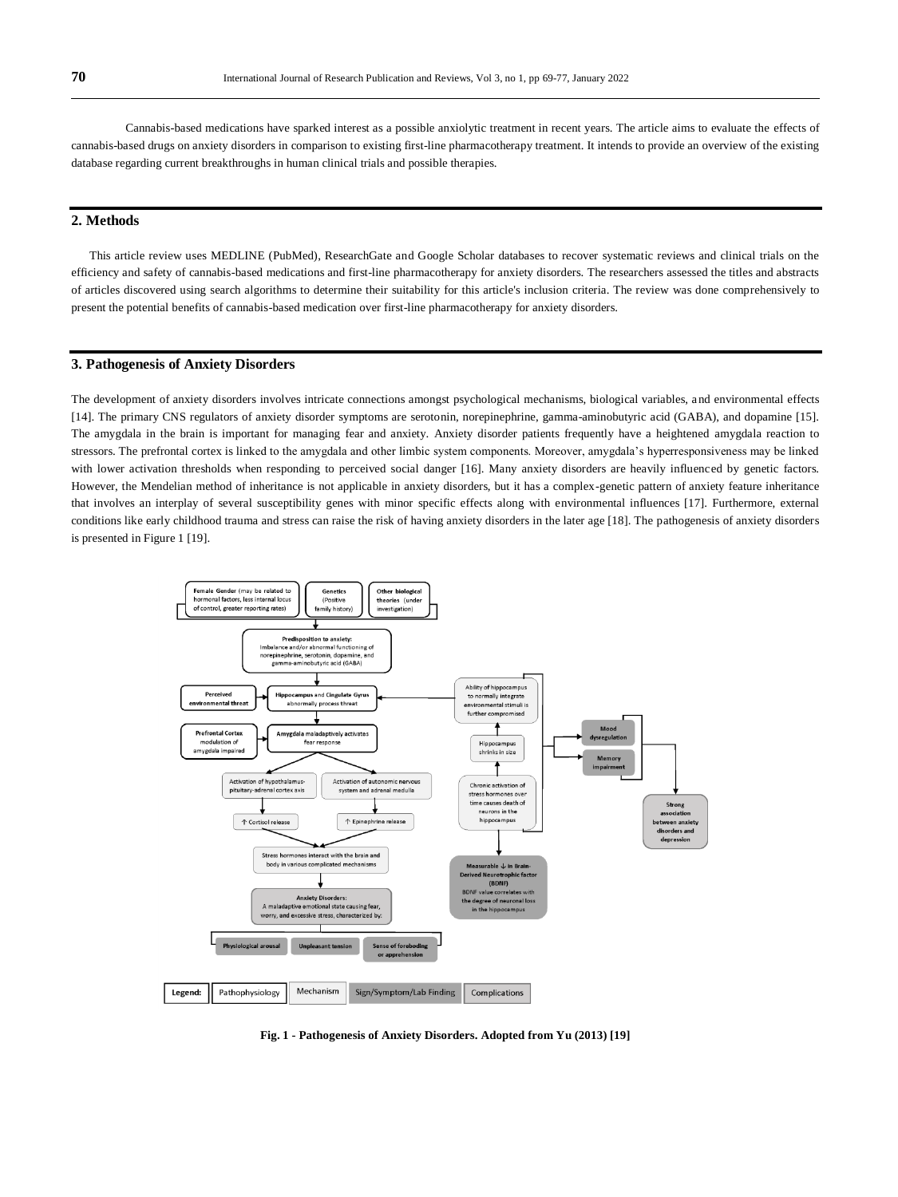Cannabis-based medications have sparked interest as a possible anxiolytic treatment in recent years. The article aims to evaluate the effects of cannabis-based drugs on anxiety disorders in comparison to existing first-line pharmacotherapy treatment. It intends to provide an overview of the existing database regarding current breakthroughs in human clinical trials and possible therapies.

# **2. Methods**

This article review uses MEDLINE (PubMed), ResearchGate and Google Scholar databases to recover systematic reviews and clinical trials on the efficiency and safety of cannabis-based medications and first-line pharmacotherapy for anxiety disorders. The researchers assessed the titles and abstracts of articles discovered using search algorithms to determine their suitability for this article's inclusion criteria. The review was done comprehensively to present the potential benefits of cannabis-based medication over first-line pharmacotherapy for anxiety disorders.

# **3. Pathogenesis of Anxiety Disorders**

The development of anxiety disorders involves intricate connections amongst psychological mechanisms, biological variables, a nd environmental effects [14]. The primary CNS regulators of anxiety disorder symptoms are serotonin, norepinephrine, gamma-aminobutyric acid (GABA), and dopamine [15]. The amygdala in the brain is important for managing fear and anxiety. Anxiety disorder patients frequently have a heightened amygdala reaction to stressors. The prefrontal cortex is linked to the amygdala and other limbic system components. Moreover, amygdala's hyperresponsiveness may be linked with lower activation thresholds when responding to perceived social danger [16]. Many anxiety disorders are heavily influenced by genetic factors. However, the Mendelian method of inheritance is not applicable in anxiety disorders, but it has a complex-genetic pattern of anxiety feature inheritance that involves an interplay of several susceptibility genes with minor specific effects along with environmental influences [17]. Furthermore, external conditions like early childhood trauma and stress can raise the risk of having anxiety disorders in the later age [18]. The pathogenesis of anxiety disorders is presented in Figure 1 [19].



**Fig. 1 - Pathogenesis of Anxiety Disorders. Adopted from Yu (2013) [19]**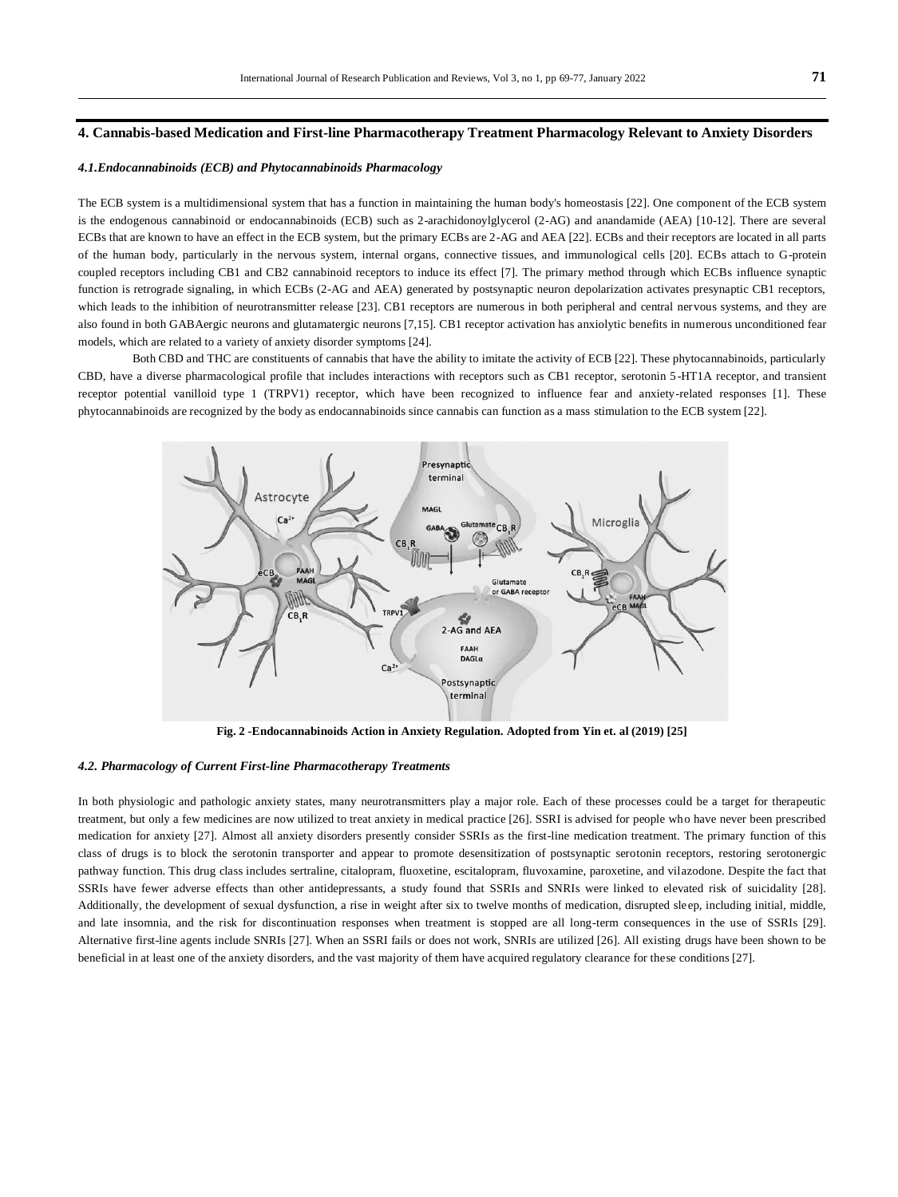## **4. Cannabis-based Medication and First-line Pharmacotherapy Treatment Pharmacology Relevant to Anxiety Disorders**

#### *4.1.Endocannabinoids (ECB) and Phytocannabinoids Pharmacology*

The ECB system is a multidimensional system that has a function in maintaining the human body's homeostasis [22]. One component of the ECB system is the endogenous cannabinoid or endocannabinoids (ECB) such as 2-arachidonoylglycerol (2-AG) and anandamide (AEA) [10-12]. There are several ECBs that are known to have an effect in the ECB system, but the primary ECBs are 2-AG and AEA [22]. ECBs and their receptors are located in all parts of the human body, particularly in the nervous system, internal organs, connective tissues, and immunological cells [20]. ECBs attach to G-protein coupled receptors including CB1 and CB2 cannabinoid receptors to induce its effect [7]. The primary method through which ECBs influence synaptic function is retrograde signaling, in which ECBs (2-AG and AEA) generated by postsynaptic neuron depolarization activates presynaptic CB1 receptors, which leads to the inhibition of neurotransmitter release [23]. CB1 receptors are numerous in both peripheral and central nervous systems, and they are also found in both GABAergic neurons and glutamatergic neurons [7,15]. CB1 receptor activation has anxiolytic benefits in numerous unconditioned fear models, which are related to a variety of anxiety disorder symptoms [24].

Both CBD and THC are constituents of cannabis that have the ability to imitate the activity of ECB [22]. These phytocannabinoids, particularly CBD, have a diverse pharmacological profile that includes interactions with receptors such as CB1 receptor, serotonin 5 -HT1A receptor, and transient receptor potential vanilloid type 1 (TRPV1) receptor, which have been recognized to influence fear and anxiety-related responses [1]. These phytocannabinoids are recognized by the body as endocannabinoids since cannabis can function as a mass stimulation to the ECB system [22].



**Fig. 2 -Endocannabinoids Action in Anxiety Regulation. Adopted from Yin et. al (2019) [25]**

#### *4.2. Pharmacology of Current First-line Pharmacotherapy Treatments*

In both physiologic and pathologic anxiety states, many neurotransmitters play a major role. Each of these processes could be a target for therapeutic treatment, but only a few medicines are now utilized to treat anxiety in medical practice [26]. SSRI is advised for people who have never been prescribed medication for anxiety [27]. Almost all anxiety disorders presently consider SSRIs as the first-line medication treatment. The primary function of this class of drugs is to block the serotonin transporter and appear to promote desensitization of postsynaptic serotonin receptors, restoring serotonergic pathway function. This drug class includes sertraline, citalopram, fluoxetine, escitalopram, fluvoxamine, paroxetine, and vilazodone. Despite the fact that SSRIs have fewer adverse effects than other antidepressants, a study found that SSRIs and SNRIs were linked to elevated risk of suicidality [28]. Additionally, the development of sexual dysfunction, a rise in weight after six to twelve months of medication, disrupted sleep, including initial, middle, and late insomnia, and the risk for discontinuation responses when treatment is stopped are all long-term consequences in the use of SSRIs [29]. Alternative first-line agents include SNRIs [27]. When an SSRI fails or does not work, SNRIs are utilized [26]. All existing drugs have been shown to be beneficial in at least one of the anxiety disorders, and the vast majority of them have acquired regulatory clearance for these conditions [27].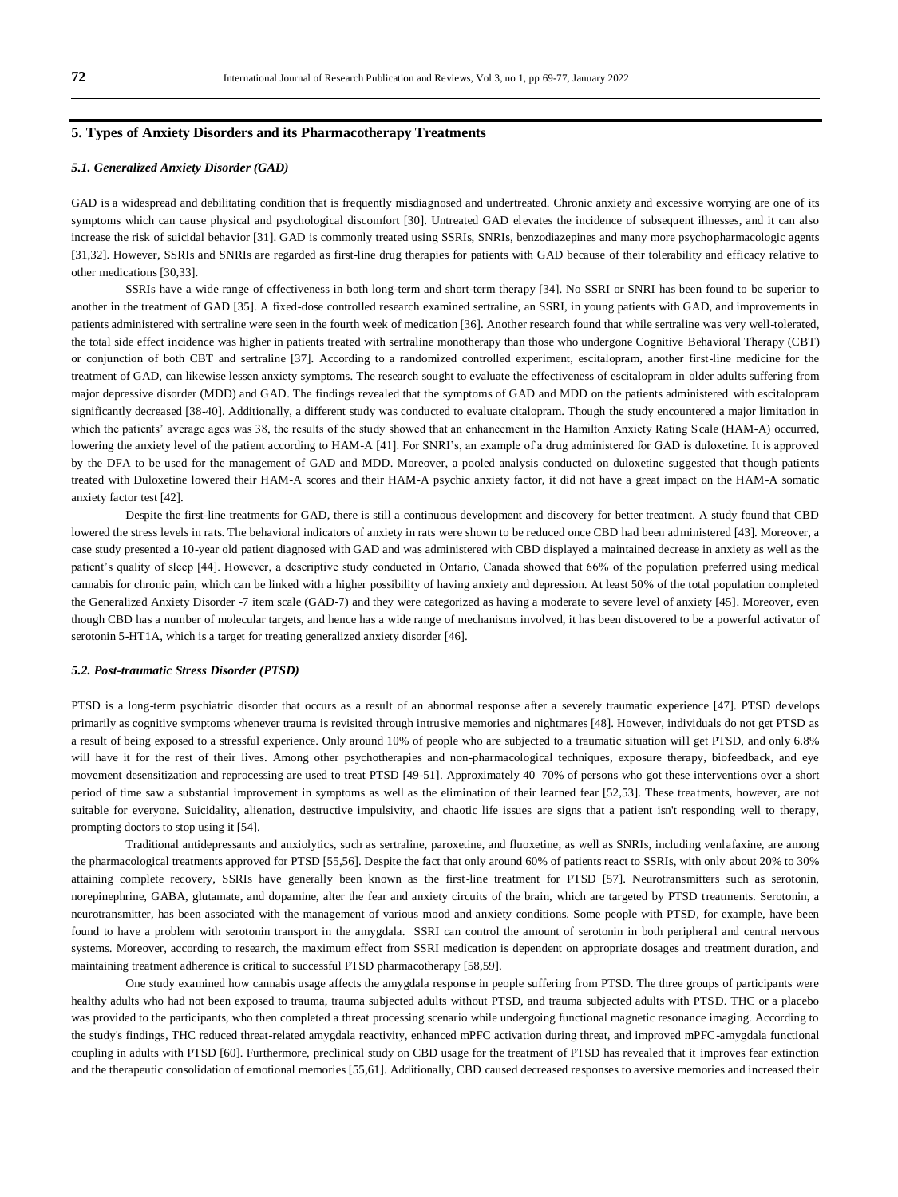# **5. Types of Anxiety Disorders and its Pharmacotherapy Treatments**

#### *5.1. Generalized Anxiety Disorder (GAD)*

GAD is a widespread and debilitating condition that is frequently misdiagnosed and undertreated. Chronic anxiety and excessive worrying are one of its symptoms which can cause physical and psychological discomfort [30]. Untreated GAD elevates the incidence of subsequent illnesses, and it can also increase the risk of suicidal behavior [31]. GAD is commonly treated using SSRIs, SNRIs, benzodiazepines and many more psychopharmacologic agents [31,32]. However, SSRIs and SNRIs are regarded as first-line drug therapies for patients with GAD because of their tolerability and efficacy relative to other medications [30,33].

SSRIs have a wide range of effectiveness in both long-term and short-term therapy [34]. No SSRI or SNRI has been found to be superior to another in the treatment of GAD [35]. A fixed-dose controlled research examined sertraline, an SSRI, in young patients with GAD, and improvements in patients administered with sertraline were seen in the fourth week of medication [36]. Another research found that while sertraline was very well-tolerated, the total side effect incidence was higher in patients treated with sertraline monotherapy than those who undergone Cognitive Behavioral Therapy (CBT) or conjunction of both CBT and sertraline [37]. According to a randomized controlled experiment, escitalopram, another first-line medicine for the treatment of GAD, can likewise lessen anxiety symptoms. The research sought to evaluate the effectiveness of escitalopram in older adults suffering from major depressive disorder (MDD) and GAD. The findings revealed that the symptoms of GAD and MDD on the patients administered with escitalopram significantly decreased [38-40]. Additionally, a different study was conducted to evaluate citalopram. Though the study encountered a major limitation in which the patients' average ages was 38, the results of the study showed that an enhancement in the Hamilton Anxiety Rating Scale (HAM-A) occurred, lowering the anxiety level of the patient according to HAM-A [41]. For SNRI's, an example of a drug administered for GAD is duloxetine. It is approved by the DFA to be used for the management of GAD and MDD. Moreover, a pooled analysis conducted on duloxetine suggested that though patients treated with Duloxetine lowered their HAM-A scores and their HAM-A psychic anxiety factor, it did not have a great impact on the HAM-A somatic anxiety factor test [42].

Despite the first-line treatments for GAD, there is still a continuous development and discovery for better treatment. A study found that CBD lowered the stress levels in rats. The behavioral indicators of anxiety in rats were shown to be reduced once CBD had been administered [43]. Moreover, a case study presented a 10-year old patient diagnosed with GAD and was administered with CBD displayed a maintained decrease in anxiety as well as the patient's quality of sleep [44]. However, a descriptive study conducted in Ontario, Canada showed that 66% of the population preferred using medical cannabis for chronic pain, which can be linked with a higher possibility of having anxiety and depression. At least 50% of the total population completed the Generalized Anxiety Disorder -7 item scale (GAD-7) and they were categorized as having a moderate to severe level of anxiety [45]. Moreover, even though CBD has a number of molecular targets, and hence has a wide range of mechanisms involved, it has been discovered to be a powerful activator of serotonin 5-HT1A, which is a target for treating generalized anxiety disorder [46].

#### *5.2. Post-traumatic Stress Disorder (PTSD)*

PTSD is a long-term psychiatric disorder that occurs as a result of an abnormal response after a severely traumatic experience [47]. PTSD develops primarily as cognitive symptoms whenever trauma is revisited through intrusive memories and nightmares [48]. However, individuals do not get PTSD as a result of being exposed to a stressful experience. Only around 10% of people who are subjected to a traumatic situation will get PTSD, and only 6.8% will have it for the rest of their lives. Among other psychotherapies and non-pharmacological techniques, exposure therapy, biofeedback, and eye movement desensitization and reprocessing are used to treat PTSD [49-51]. Approximately 40–70% of persons who got these interventions over a short period of time saw a substantial improvement in symptoms as well as the elimination of their learned fear [52,53]. These treatments, however, are not suitable for everyone. Suicidality, alienation, destructive impulsivity, and chaotic life issues are signs that a patient isn't responding well to therapy, prompting doctors to stop using it [54].

Traditional antidepressants and anxiolytics, such as sertraline, paroxetine, and fluoxetine, as well as SNRIs, including venlafaxine, are among the pharmacological treatments approved for PTSD [55,56]. Despite the fact that only around 60% of patients react to SSRIs, with only about 20% to 30% attaining complete recovery, SSRIs have generally been known as the first-line treatment for PTSD [57]. Neurotransmitters such as serotonin, norepinephrine, GABA, glutamate, and dopamine, alter the fear and anxiety circuits of the brain, which are targeted by PTSD treatments. Serotonin, a neurotransmitter, has been associated with the management of various mood and anxiety conditions. Some people with PTSD, for example, have been found to have a problem with serotonin transport in the amygdala. SSRI can control the amount of serotonin in both peripheral and central nervous systems. Moreover, according to research, the maximum effect from SSRI medication is dependent on appropriate dosages and treatment duration, and maintaining treatment adherence is critical to successful PTSD pharmacotherapy [58,59].

One study examined how cannabis usage affects the amygdala response in people suffering from PTSD. The three groups of participants were healthy adults who had not been exposed to trauma, trauma subjected adults without PTSD, and trauma subjected adults with PTSD. THC or a placebo was provided to the participants, who then completed a threat processing scenario while undergoing functional magnetic resonance imaging. According to the study's findings, THC reduced threat-related amygdala reactivity, enhanced mPFC activation during threat, and improved mPFC-amygdala functional coupling in adults with PTSD [60]. Furthermore, preclinical study on CBD usage for the treatment of PTSD has revealed that it improves fear extinction and the therapeutic consolidation of emotional memories [55,61]. Additionally, CBD caused decreased responses to aversive memories and increased their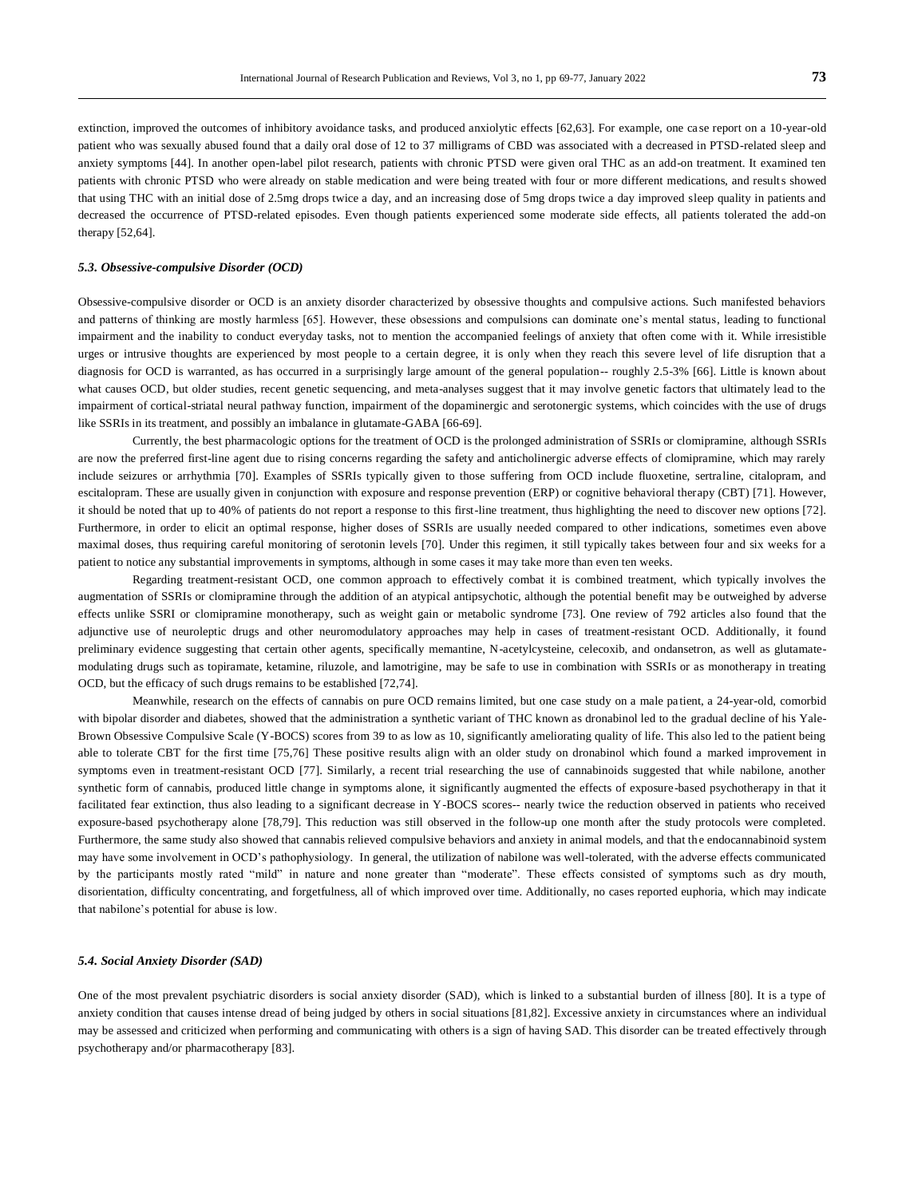extinction, improved the outcomes of inhibitory avoidance tasks, and produced anxiolytic effects [62,63]. For example, one ca se report on a 10-year-old patient who was sexually abused found that a daily oral dose of 12 to 37 milligrams of CBD was associated with a decreased in PTSD-related sleep and anxiety symptoms [44]. In another open-label pilot research, patients with chronic PTSD were given oral THC as an add-on treatment. It examined ten patients with chronic PTSD who were already on stable medication and were being treated with four or more different medications, and results showed that using THC with an initial dose of 2.5mg drops twice a day, and an increasing dose of 5mg drops twice a day improved sleep quality in patients and decreased the occurrence of PTSD-related episodes. Even though patients experienced some moderate side effects, all patients tolerated the add-on therapy [52,64].

#### *5.3. Obsessive-compulsive Disorder (OCD)*

Obsessive-compulsive disorder or OCD is an anxiety disorder characterized by obsessive thoughts and compulsive actions. Such manifested behaviors and patterns of thinking are mostly harmless [65]. However, these obsessions and compulsions can dominate one's mental status, leading to functional impairment and the inability to conduct everyday tasks, not to mention the accompanied feelings of anxiety that often come with it. While irresistible urges or intrusive thoughts are experienced by most people to a certain degree, it is only when they reach this severe level of life disruption that a diagnosis for OCD is warranted, as has occurred in a surprisingly large amount of the general population-- roughly 2.5-3% [66]. Little is known about what causes OCD, but older studies, recent genetic sequencing, and meta-analyses suggest that it may involve genetic factors that ultimately lead to the impairment of cortical-striatal neural pathway function, impairment of the dopaminergic and serotonergic systems, which coincides with the use of drugs like SSRIs in its treatment, and possibly an imbalance in glutamate-GABA [66-69].

Currently, the best pharmacologic options for the treatment of OCD is the prolonged administration of SSRIs or clomipramine, although SSRIs are now the preferred first-line agent due to rising concerns regarding the safety and anticholinergic adverse effects of clomipramine, which may rarely include seizures or arrhythmia [70]. Examples of SSRIs typically given to those suffering from OCD include fluoxetine, sertraline, citalopram, and escitalopram. These are usually given in conjunction with exposure and response prevention (ERP) or cognitive behavioral therapy (CBT) [71]. However, it should be noted that up to 40% of patients do not report a response to this first-line treatment, thus highlighting the need to discover new options [72]. Furthermore, in order to elicit an optimal response, higher doses of SSRIs are usually needed compared to other indications, sometimes even above maximal doses, thus requiring careful monitoring of serotonin levels [70]. Under this regimen, it still typically takes between four and six weeks for a patient to notice any substantial improvements in symptoms, although in some cases it may take more than even ten weeks.

Regarding treatment-resistant OCD, one common approach to effectively combat it is combined treatment, which typically involves the augmentation of SSRIs or clomipramine through the addition of an atypical antipsychotic, although the potential benefit may be outweighed by adverse effects unlike SSRI or clomipramine monotherapy, such as weight gain or metabolic syndrome [73]. One review of 792 articles also found that the adjunctive use of neuroleptic drugs and other neuromodulatory approaches may help in cases of treatment-resistant OCD. Additionally, it found preliminary evidence suggesting that certain other agents, specifically memantine, N-acetylcysteine, celecoxib, and ondansetron, as well as glutamatemodulating drugs such as topiramate, ketamine, riluzole, and lamotrigine, may be safe to use in combination with SSRIs or as monotherapy in treating OCD, but the efficacy of such drugs remains to be established [72,74].

Meanwhile, research on the effects of cannabis on pure OCD remains limited, but one case study on a male pa tient, a 24-year-old, comorbid with bipolar disorder and diabetes, showed that the administration a synthetic variant of THC known as dronabinol led to the gradual decline of his Yale-Brown Obsessive Compulsive Scale (Y-BOCS) scores from 39 to as low as 10, significantly ameliorating quality of life. This also led to the patient being able to tolerate CBT for the first time [75,76] These positive results align with an older study on dronabinol which found a marked improvement in symptoms even in treatment-resistant OCD [77]. Similarly, a recent trial researching the use of cannabinoids suggested that while nabilone, another synthetic form of cannabis, produced little change in symptoms alone, it significantly augmented the effects of exposure-based psychotherapy in that it facilitated fear extinction, thus also leading to a significant decrease in Y-BOCS scores-- nearly twice the reduction observed in patients who received exposure-based psychotherapy alone [78,79]. This reduction was still observed in the follow-up one month after the study protocols were completed. Furthermore, the same study also showed that cannabis relieved compulsive behaviors and anxiety in animal models, and that the endocannabinoid system may have some involvement in OCD's pathophysiology. In general, the utilization of nabilone was well-tolerated, with the adverse effects communicated by the participants mostly rated "mild" in nature and none greater than "moderate". These effects consisted of symptoms such as dry mouth, disorientation, difficulty concentrating, and forgetfulness, all of which improved over time. Additionally, no cases reported euphoria, which may indicate that nabilone's potential for abuse is low.

#### *5.4. Social Anxiety Disorder (SAD)*

One of the most prevalent psychiatric disorders is social anxiety disorder (SAD), which is linked to a substantial burden of illness [80]. It is a type of anxiety condition that causes intense dread of being judged by others in social situations [81,82]. Excessive anxiety in circumstances where an individual may be assessed and criticized when performing and communicating with others is a sign of having SAD. This disorder can be treated effectively through psychotherapy and/or pharmacotherapy [83].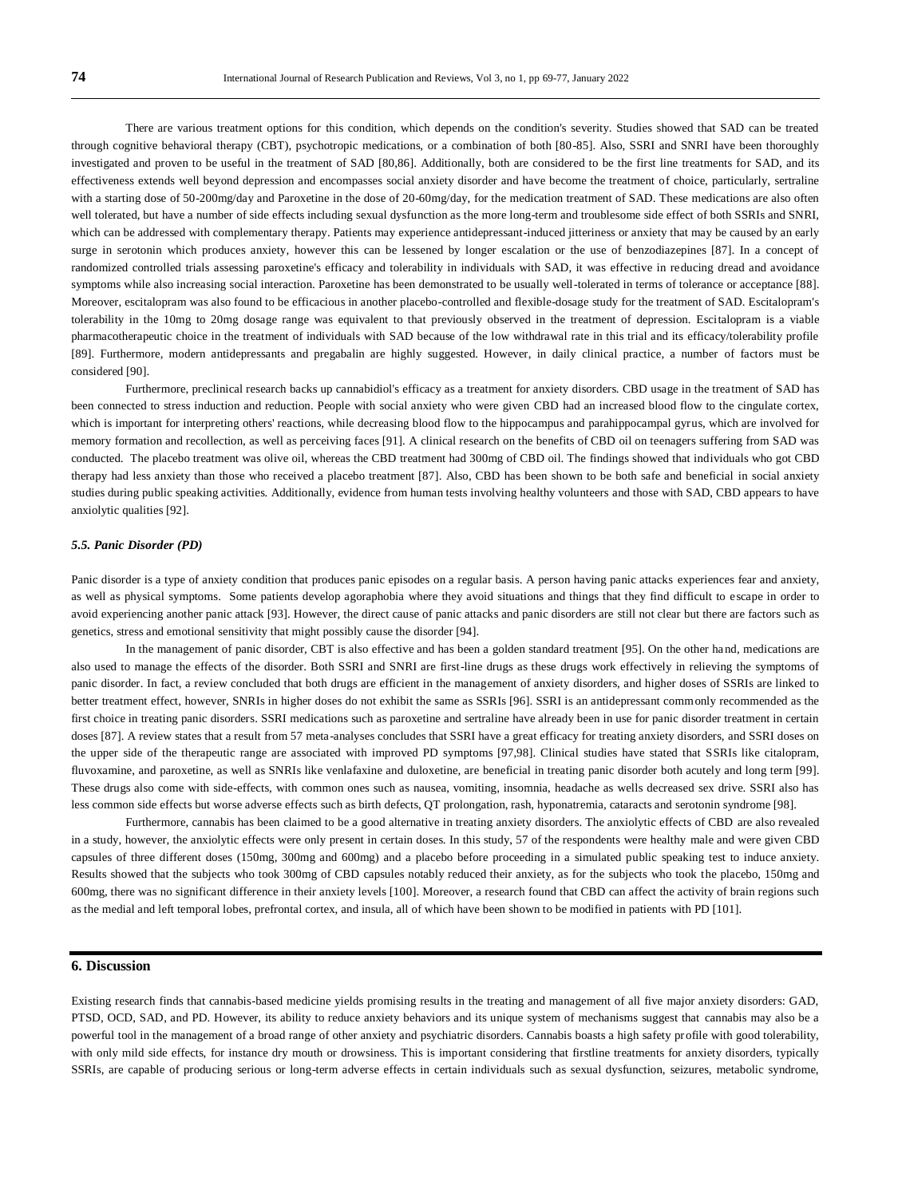There are various treatment options for this condition, which depends on the condition's severity. Studies showed that SAD can be treated through cognitive behavioral therapy (CBT), psychotropic medications, or a combination of both [80-85]. Also, SSRI and SNRI have been thoroughly investigated and proven to be useful in the treatment of SAD [80,86]. Additionally, both are considered to be the first line treatments for SAD, and its effectiveness extends well beyond depression and encompasses social anxiety disorder and have become the treatment of choice, particularly, sertraline with a starting dose of 50-200mg/day and Paroxetine in the dose of 20-60mg/day, for the medication treatment of SAD. These medications are also often well tolerated, but have a number of side effects including sexual dysfunction as the more long-term and troublesome side effect of both SSRIs and SNRI, which can be addressed with complementary therapy. Patients may experience antidepressant-induced jitteriness or anxiety that may be caused by an early surge in serotonin which produces anxiety, however this can be lessened by longer escalation or the use of benzodiazepines [87]. In a concept of randomized controlled trials assessing paroxetine's efficacy and tolerability in individuals with SAD, it was effective in reducing dread and avoidance symptoms while also increasing social interaction. Paroxetine has been demonstrated to be usually well-tolerated in terms of tolerance or acceptance [88]. Moreover, escitalopram was also found to be efficacious in another placebo-controlled and flexible-dosage study for the treatment of SAD. Escitalopram's tolerability in the 10mg to 20mg dosage range was equivalent to that previously observed in the treatment of depression. Escitalopram is a viable pharmacotherapeutic choice in the treatment of individuals with SAD because of the low withdrawal rate in this trial and its efficacy/tolerability profile [89]. Furthermore, modern antidepressants and pregabalin are highly suggested. However, in daily clinical practice, a number of factors must be considered [90].

Furthermore, preclinical research backs up cannabidiol's efficacy as a treatment for anxiety disorders. CBD usage in the treatment of SAD has been connected to stress induction and reduction. People with social anxiety who were given CBD had an increased blood flow to the cingulate cortex, which is important for interpreting others' reactions, while decreasing blood flow to the hippocampus and parahippocampal gyrus, which are involved for memory formation and recollection, as well as perceiving faces [91]. A clinical research on the benefits of CBD oil on teenagers suffering from SAD was conducted. The placebo treatment was olive oil, whereas the CBD treatment had 300mg of CBD oil. The findings showed that individuals who got CBD therapy had less anxiety than those who received a placebo treatment [87]. Also, CBD has been shown to be both safe and beneficial in social anxiety studies during public speaking activities. Additionally, evidence from human tests involving healthy volunteers and those with SAD, CBD appears to have anxiolytic qualities [92].

#### *5.5. Panic Disorder (PD)*

Panic disorder is a type of anxiety condition that produces panic episodes on a regular basis. A person having panic attacks experiences fear and anxiety, as well as physical symptoms. Some patients develop agoraphobia where they avoid situations and things that they find difficult to escape in order to avoid experiencing another panic attack [93]. However, the direct cause of panic attacks and panic disorders are still not clear but there are factors such as genetics, stress and emotional sensitivity that might possibly cause the disorder [94].

In the management of panic disorder, CBT is also effective and has been a golden standard treatment [95]. On the other hand, medications are also used to manage the effects of the disorder. Both SSRI and SNRI are first-line drugs as these drugs work effectively in relieving the symptoms of panic disorder. In fact, a review concluded that both drugs are efficient in the management of anxiety disorders, and higher doses of SSRIs are linked to better treatment effect, however, SNRIs in higher doses do not exhibit the same as SSRIs [96]. SSRI is an antidepressant commonly recommended as the first choice in treating panic disorders. SSRI medications such as paroxetine and sertraline have already been in use for panic disorder treatment in certain doses [87]. A review states that a result from 57 meta-analyses concludes that SSRI have a great efficacy for treating anxiety disorders, and SSRI doses on the upper side of the therapeutic range are associated with improved PD symptoms [97,98]. Clinical studies have stated that SSRIs like citalopram, fluvoxamine, and paroxetine, as well as SNRIs like venlafaxine and duloxetine, are beneficial in treating panic disorder both acutely and long term [99]. These drugs also come with side-effects, with common ones such as nausea, vomiting, insomnia, headache as wells decreased sex drive. SSRI also has less common side effects but worse adverse effects such as birth defects, QT prolongation, rash, hyponatremia, cataracts and serotonin syndrome [98].

Furthermore, cannabis has been claimed to be a good alternative in treating anxiety disorders. The anxiolytic effects of CBD are also revealed in a study, however, the anxiolytic effects were only present in certain doses. In this study, 57 of the respondents were healthy male and were given CBD capsules of three different doses (150mg, 300mg and 600mg) and a placebo before proceeding in a simulated public speaking test to induce anxiety. Results showed that the subjects who took 300mg of CBD capsules notably reduced their anxiety, as for the subjects who took the placebo, 150mg and 600mg, there was no significant difference in their anxiety levels [100]. Moreover, a research found that CBD can affect the activity of brain regions such as the medial and left temporal lobes, prefrontal cortex, and insula, all of which have been shown to be modified in patients with PD [101].

# **6. Discussion**

Existing research finds that cannabis-based medicine yields promising results in the treating and management of all five major anxiety disorders: GAD, PTSD, OCD, SAD, and PD. However, its ability to reduce anxiety behaviors and its unique system of mechanisms suggest that cannabis may also be a powerful tool in the management of a broad range of other anxiety and psychiatric disorders. Cannabis boasts a high safety profile with good tolerability, with only mild side effects, for instance dry mouth or drowsiness. This is important considering that firstline treatments for anxiety disorders, typically SSRIs, are capable of producing serious or long-term adverse effects in certain individuals such as sexual dysfunction, seizures, metabolic syndrome,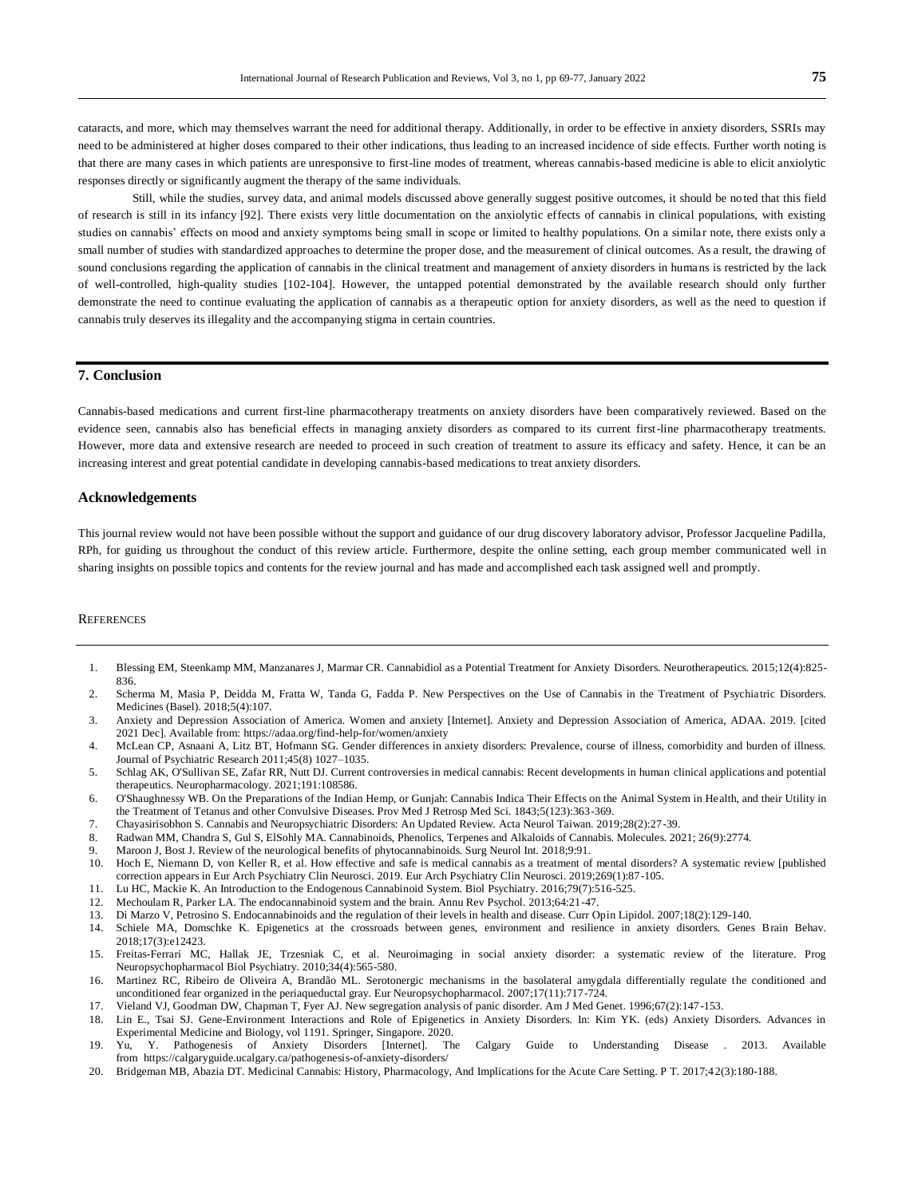cataracts, and more, which may themselves warrant the need for additional therapy. Additionally, in order to be effective in anxiety disorders, SSRIs may need to be administered at higher doses compared to their other indications, thus leading to an increased incidence of side effects. Further worth noting is that there are many cases in which patients are unresponsive to first-line modes of treatment, whereas cannabis-based medicine is able to elicit anxiolytic responses directly or significantly augment the therapy of the same individuals.

Still, while the studies, survey data, and animal models discussed above generally suggest positive outcomes, it should be noted that this field of research is still in its infancy [92]. There exists very little documentation on the anxiolytic effects of cannabis in clinical populations, with existing studies on cannabis' effects on mood and anxiety symptoms being small in scope or limited to healthy populations. On a similar note, there exists only a small number of studies with standardized approaches to determine the proper dose, and the measurement of clinical outcomes. As a result, the drawing of sound conclusions regarding the application of cannabis in the clinical treatment and management of anxiety disorders in humans is restricted by the lack of well-controlled, high-quality studies [102-104]. However, the untapped potential demonstrated by the available research should only further demonstrate the need to continue evaluating the application of cannabis as a therapeutic option for anxiety disorders, as well as the need to question if cannabis truly deserves its illegality and the accompanying stigma in certain countries.

# **7. Conclusion**

Cannabis-based medications and current first-line pharmacotherapy treatments on anxiety disorders have been comparatively reviewed. Based on the evidence seen, cannabis also has beneficial effects in managing anxiety disorders as compared to its current first-line pharmacotherapy treatments. However, more data and extensive research are needed to proceed in such creation of treatment to assure its efficacy and safety. Hence, it can be an increasing interest and great potential candidate in developing cannabis-based medications to treat anxiety disorders.

#### **Acknowledgements**

This journal review would not have been possible without the support and guidance of our drug discovery laboratory advisor, Professor Jacqueline Padilla, RPh, for guiding us throughout the conduct of this review article. Furthermore, despite the online setting, each group member communicated well in sharing insights on possible topics and contents for the review journal and has made and accomplished each task assigned well and promptly.

### **REFERENCES**

- 1. Blessing EM, Steenkamp MM, Manzanares J, Marmar CR. Cannabidiol as a Potential Treatment for Anxiety Disorders. Neurotherapeutics. 2015;12(4):825- 836.
- 2. Scherma M, Masia P, Deidda M, Fratta W, Tanda G, Fadda P. New Perspectives on the Use of Cannabis in the Treatment of Psychia tric Disorders. Medicines (Basel). 2018;5(4):107.
- 3. Anxiety and Depression Association of America. Women and anxiety [Internet]. Anxiety and Depression Association of America, ADAA. 2019. [cited 2021 Dec]. Available from: https://adaa.org/find-help-for/women/anxiety
- 4. McLean CP, Asnaani A, Litz BT, Hofmann SG. Gender differences in anxiety disorders: Prevalence, course of illness, comorbidity and burden of illness. Journal of Psychiatric Research 2011;45(8) 1027–1035.
- 5. Schlag AK, O'Sullivan SE, Zafar RR, Nutt DJ. Current controversies in medical cannabis: Recent developments in human clinical applications and potential therapeutics. Neuropharmacology. 2021;191:108586.
- 6. O'Shaughnessy WB. On the Preparations of the Indian Hemp, or Gunjah: Cannabis Indica Their Effects on the Animal System in Health, and their Utility in the Treatment of Tetanus and other Convulsive Diseases. Prov Med J Retrosp Med Sci. 1843;5(123):363-369.
- 7. Chayasirisobhon S. Cannabis and Neuropsychiatric Disorders: An Updated Review. Acta Neurol Taiwan. 2019;28(2):27-39.
- 8. Radwan MM, Chandra S, Gul S, ElSohly MA. Cannabinoids, Phenolics, Terpenes and Alkaloids of Cannabis. Molecules. 2021; 26(9):2774.
- 9. Maroon J, Bost J. Review of the neurological benefits of phytocannabinoids. Surg Neurol Int. 2018;9:91.<br>10. Hoch E. Niemann D. von Keller R. et al. How effective and safe is medical cannabis as a treatment of
- 10. Hoch E, Niemann D, von Keller R, et al. How effective and safe is medical cannabis as a treatment of mental disorders? A systematic review [published correction appears in Eur Arch Psychiatry Clin Neurosci. 2019. Eur Arch Psychiatry Clin Neurosci. 2019;269(1):87-105.
- 11. Lu HC, Mackie K. An Introduction to the Endogenous Cannabinoid System. Biol Psychiatry. 2016;79(7):516-525.
- 12. Mechoulam R, Parker LA. The endocannabinoid system and the brain. Annu Rev Psychol. 2013;64:21-47.<br>13. Di Marzo V. Petrosino S. Endocannabinoids and the regulation of their levels in health and disease. Curr C
- 13. Di Marzo V, Petrosino S. Endocannabinoids and the regulation of their levels in health and disease. Curr Opin Lipidol. 2007;18(2):129-140.
- 14. Schiele MA, Domschke K. Epigenetics at the crossroads between genes, environment and resilience in anxiety disorders. Genes Brain Behav. 2018;17(3):e12423.
- 15. Freitas-Ferrari MC, Hallak JE, Trzesniak C, et al. Neuroimaging in social anxiety disorder: a systematic review of the literature. Prog Neuropsychopharmacol Biol Psychiatry. 2010;34(4):565-580.
- 16. Martinez RC, Ribeiro de Oliveira A, Brandão ML. Serotonergic mechanisms in the basolateral amygdala differentially regulate the conditioned and unconditioned fear organized in the periaqueductal gray. Eur Neuropsychopharmacol. 2007;17(11):717-724.
- 17. Vieland VJ, Goodman DW, Chapman T, Fyer AJ. New segregation analysis of panic disorder. Am J Med Genet. 1996;67(2):147-153.
- 18. Lin E., Tsai SJ. Gene-Environment Interactions and Role of Epigenetics in Anxiety Disorders. In: Kim YK. (eds) Anxiety Disorders. Advances in Experimental Medicine and Biology, vol 1191. Springer, Singapore. 2020.
- 19. Yu, Y. Pathogenesis of Anxiety Disorders [Internet]. The Calgary Guide to Understanding Disease . 2013. Available from https://calgaryguide.ucalgary.ca/pathogenesis-of-anxiety-disorders/
- 20. Bridgeman MB, Abazia DT. Medicinal Cannabis: History, Pharmacology, And Implications for the Acute Care Setting. P T. 2017;42(3):180-188.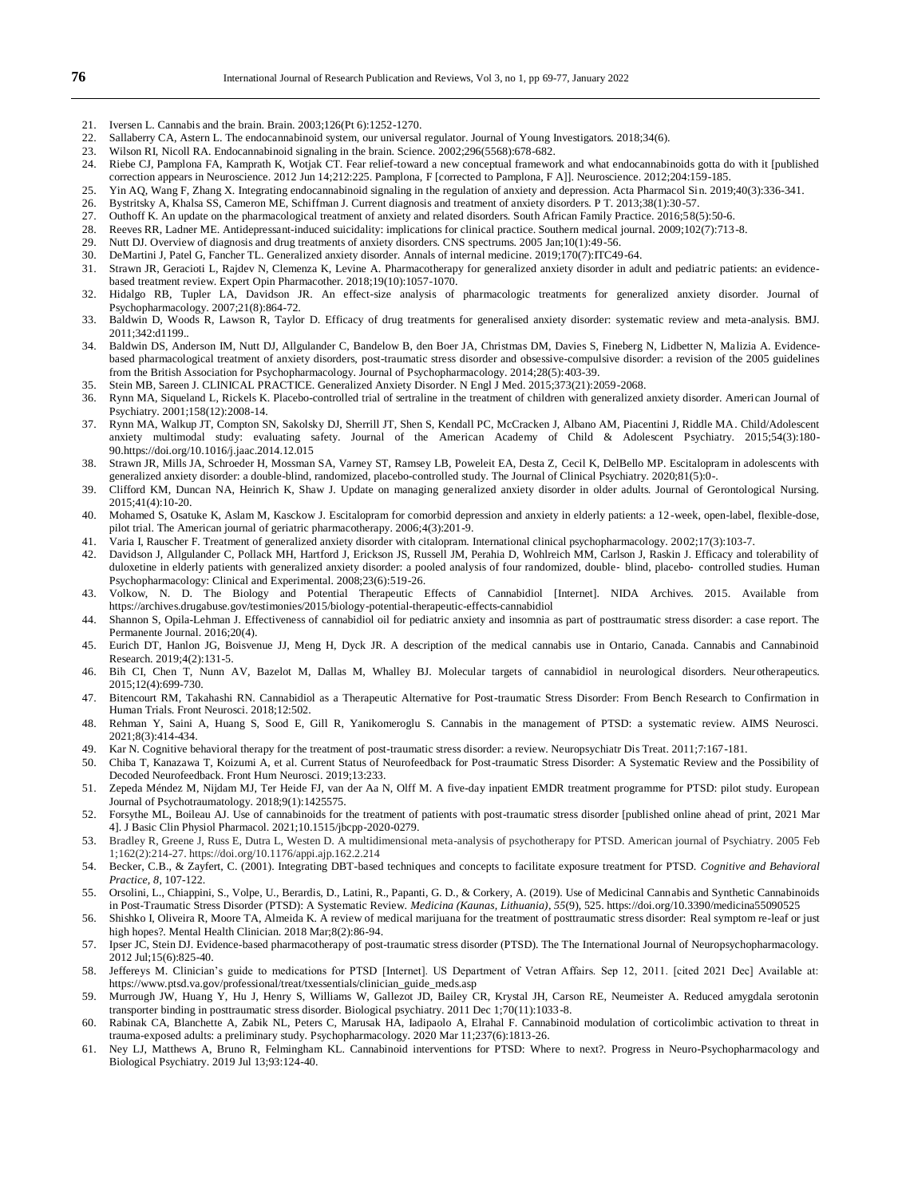- 21. Iversen L. Cannabis and the brain. Brain. 2003;126(Pt 6):1252-1270.
- 22. Sallaberry CA, Astern L. The endocannabinoid system, our universal regulator. Journal of Young Investigators. 2018;34(6).
- 23. Wilson RI, Nicoll RA. Endocannabinoid signaling in the brain. Science. 2002;296(5568):678-682.
- 24. Riebe CJ, Pamplona FA, Kamprath K, Wotjak CT. Fear relief-toward a new conceptual framework and what endocannabinoids gotta do with it [published correction appears in Neuroscience. 2012 Jun 14;212:225. Pamplona, F [corrected to Pamplona, F A]]. Neuroscience. 2012;204:159-185.
- 25. Yin AQ, Wang F, Zhang X. Integrating endocannabinoid signaling in the regulation of anxiety and depression. Acta Pharmacol Sin. 2019;40(3):336-341.
- 26. Bystritsky A, Khalsa SS, Cameron ME, Schiffman J. Current diagnosis and treatment of anxiety disorders. P T. 2013;38(1):30-57.
- 27. Outhoff K. An update on the pharmacological treatment of anxiety and related disorders. South African Family Practice. 2016;58(5):50-6.
- 28. Reeves RR, Ladner ME. Antidepressant-induced suicidality: implications for clinical practice. Southern medical journal. 2009;102(7):713-8.
- 29. Nutt DJ. Overview of diagnosis and drug treatments of anxiety disorders. CNS spectrums. 2005 Jan;10(1):49-56.
- 30. DeMartini J, Patel G, Fancher TL. Generalized anxiety disorder. Annals of internal medicine. 2019;170(7):ITC49-64.
- 31. Strawn JR, Geracioti L, Rajdev N, Clemenza K, Levine A. Pharmacotherapy for generalized anxiety disorder in adult and pediatric patients: an evidencebased treatment review. Expert Opin Pharmacother. 2018;19(10):1057-1070.
- 32. Hidalgo RB, Tupler LA, Davidson JR. An effect-size analysis of pharmacologic treatments for generalized anxiety disorder. Journal of Psychopharmacology. 2007;21(8):864-72.
- 33. Baldwin D, Woods R, Lawson R, Taylor D. Efficacy of drug treatments for generalised anxiety disorder: systematic review and meta-analysis. BMJ. 2011;342:d1199..
- 34. Baldwin DS, Anderson IM, Nutt DJ, Allgulander C, Bandelow B, den Boer JA, Christmas DM, Davies S, Fineberg N, Lidbetter N, Malizia A. Evidencebased pharmacological treatment of anxiety disorders, post-traumatic stress disorder and obsessive-compulsive disorder: a revision of the 2005 guidelines from the British Association for Psychopharmacology. Journal of Psychopharmacology. 2014;28(5):403-39.
- 35. Stein MB, Sareen J. CLINICAL PRACTICE. Generalized Anxiety Disorder. N Engl J Med. 2015;373(21):2059-2068.
- 36. Rynn MA, Siqueland L, Rickels K. Placebo-controlled trial of sertraline in the treatment of children with generalized anxiety disorder. American Journal of Psychiatry. 2001;158(12):2008-14.
- 37. Rynn MA, Walkup JT, Compton SN, Sakolsky DJ, Sherrill JT, Shen S, Kendall PC, McCracken J, Albano AM, Piacentini J, Riddle MA. Child/Adolescent anxiety multimodal study: evaluating safety. Journal of the American Academy of Child & Adolescent Psychiatry. 2015;54(3):180- 9[0.https://doi.org/10.1016/j.jaac.2014.12.015](https://doi.org/10.1016/j.jaac.2014.12.015)
- 38. Strawn JR, Mills JA, Schroeder H, Mossman SA, Varney ST, Ramsey LB, Poweleit EA, Desta Z, Cecil K, DelBello MP. Escitalopram in adolescents with generalized anxiety disorder: a double-blind, randomized, placebo-controlled study. The Journal of Clinical Psychiatry. 2020;81(5):0-.
- 39. Clifford KM, Duncan NA, Heinrich K, Shaw J. Update on managing generalized anxiety disorder in older adults. Journal of Gerontological Nursing. 2015;41(4):10-20.
- 40. Mohamed S, Osatuke K, Aslam M, Kasckow J. Escitalopram for comorbid depression and anxiety in elderly patients: a 12-week, open-label, flexible-dose, pilot trial. The American journal of geriatric pharmacotherapy. 2006;4(3):201-9.
- 41. Varia I, Rauscher F. Treatment of generalized anxiety disorder with citalopram. International clinical psychopharmacology. 2002;17(3):103-7.
- 42. Davidson J, Allgulander C, Pollack MH, Hartford J, Erickson JS, Russell JM, Perahia D, Wohlreich MM, Carlson J, Raskin J. Efficacy and tolerability of duloxetine in elderly patients with generalized anxiety disorder: a pooled analysis of four randomized, double‐ blind, placebo‐ controlled studies. Human Psychopharmacology: Clinical and Experimental. 2008;23(6):519-26.
- 43. Volkow, N. D. The Biology and Potential Therapeutic Effects of Cannabidiol [Internet]. NIDA Archives. 2015. Available from https://archives.drugabuse.gov/testimonies/2015/biology-potential-therapeutic-effects-cannabidiol
- 44. Shannon S, Opila-Lehman J. Effectiveness of cannabidiol oil for pediatric anxiety and insomnia as part of posttraumatic stress disorder: a case report. The Permanente Journal. 2016;20(4).
- 45. Eurich DT, Hanlon JG, Boisvenue JJ, Meng H, Dyck JR. A description of the medical cannabis use in Ontario, Canada. Cannabis and Cannabinoid Research. 2019;4(2):131-5.
- 46. Bih CI, Chen T, Nunn AV, Bazelot M, Dallas M, Whalley BJ. Molecular targets of cannabidiol in neurological disorders. Neurotherapeutics. 2015;12(4):699-730.
- 47. Bitencourt RM, Takahashi RN. Cannabidiol as a Therapeutic Alternative for Post-traumatic Stress Disorder: From Bench Research to Confirmation in Human Trials. Front Neurosci. 2018;12:502.
- 48. Rehman Y, Saini A, Huang S, Sood E, Gill R, Yanikomeroglu S. Cannabis in the management of PTSD: a systematic review. AIMS Neurosci. 2021;8(3):414-434.
- 49. Kar N. Cognitive behavioral therapy for the treatment of post-traumatic stress disorder: a review. Neuropsychiatr Dis Treat. 2011;7:167-181.
- 50. Chiba T, Kanazawa T, Koizumi A, et al. Current Status of Neurofeedback for Post-traumatic Stress Disorder: A Systematic Review and the Possibility of Decoded Neurofeedback. Front Hum Neurosci. 2019;13:233.
- 51. Zepeda Méndez M, Nijdam MJ, Ter Heide FJ, van der Aa N, Olff M. A five-day inpatient EMDR treatment programme for PTSD: pilot study. European Journal of Psychotraumatology. 2018;9(1):1425575.
- 52. Forsythe ML, Boileau AJ. Use of cannabinoids for the treatment of patients with post-traumatic stress disorder [published online ahead of print, 2021 Mar 4]. J Basic Clin Physiol Pharmacol. 2021;10.1515/jbcpp-2020-0279.
- 53. Bradley R, Greene J, Russ E, Dutra L, Westen D. A multidimensional meta-analysis of psychotherapy for PTSD. American journal of Psychiatry. 2005 Feb 1;162(2):214-27. https://doi.org/10.1176/appi.ajp.162.2.214
- 54. Becker, C.B., & Zayfert, C. (2001). Integrating DBT-based techniques and concepts to facilitate exposure treatment for PTSD. *Cognitive and Behavioral Practice, 8*, 107-122.
- 55. Orsolini, L., Chiappini, S., Volpe, U., Berardis, D., Latini, R., Papanti, G. D., & Corkery, A. (2019). Use of Medicinal Cannabis and Synthetic Cannabinoids in Post-Traumatic Stress Disorder (PTSD): A Systematic Review. *Medicina (Kaunas, Lithuania)*, *55*(9), 525[. https://doi.org/10.3390/medicina55090525](https://doi.org/10.3390/medicina55090525)
- 56. Shishko I, Oliveira R, Moore TA, Almeida K. A review of medical marijuana for the treatment of posttraumatic stress disorder: Real symptom re-leaf or just high hopes?. Mental Health Clinician. 2018 Mar:8(2):86-94.
- 57. Ipser JC, Stein DJ. Evidence-based pharmacotherapy of post-traumatic stress disorder (PTSD). The The International Journal of Neuropsychopharmacology. 2012 Jul;15(6):825-40.
- 58. Jeffereys M. Clinician's guide to medications for PTSD [Internet]. US Department of Vetran Affairs. Sep 12, 2011. [cited 2021 Dec] Available at: https://www.ptsd.va.gov/professional/treat/txessentials/clinician\_guide\_meds.asp
- 59. Murrough JW, Huang Y, Hu J, Henry S, Williams W, Gallezot JD, Bailey CR, Krystal JH, Carson RE, Neumeister A. Reduced amygdala serotonin transporter binding in posttraumatic stress disorder. Biological psychiatry. 2011 Dec 1;70(11):1033-8.
- 60. Rabinak CA, Blanchette A, Zabik NL, Peters C, Marusak HA, Iadipaolo A, Elrahal F. Cannabinoid modulation of corticolimbic activation to threat in trauma-exposed adults: a preliminary study. Psychopharmacology. 2020 Mar 11;237(6):1813-26.
- 61. Ney LJ, Matthews A, Bruno R, Felmingham KL. Cannabinoid interventions for PTSD: Where to next?. Progress in Neuro-Psychopharmacology and Biological Psychiatry. 2019 Jul 13;93:124-40.